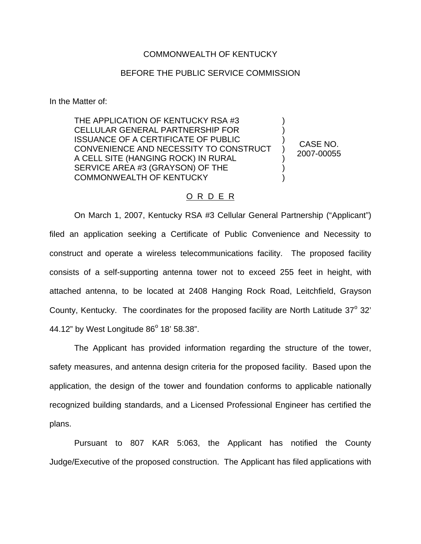## COMMONWEALTH OF KENTUCKY

## BEFORE THE PUBLIC SERVICE COMMISSION

In the Matter of:

THE APPLICATION OF KENTUCKY RSA #3 CELLULAR GENERAL PARTNERSHIP FOR ISSUANCE OF A CERTIFICATE OF PUBLIC CONVENIENCE AND NECESSITY TO CONSTRUCT A CELL SITE (HANGING ROCK) IN RURAL SERVICE AREA #3 (GRAYSON) OF THE COMMONWEALTH OF KENTUCKY ) ) ) ) ) ) )

CASE NO. 2007-00055

## O R D E R

On March 1, 2007, Kentucky RSA #3 Cellular General Partnership ("Applicant") filed an application seeking a Certificate of Public Convenience and Necessity to construct and operate a wireless telecommunications facility. The proposed facility consists of a self-supporting antenna tower not to exceed 255 feet in height, with attached antenna, to be located at 2408 Hanging Rock Road, Leitchfield, Grayson County, Kentucky. The coordinates for the proposed facility are North Latitude  $37^\circ$  32' 44.12" by West Longitude  $86^{\circ}$  18' 58.38".

The Applicant has provided information regarding the structure of the tower, safety measures, and antenna design criteria for the proposed facility. Based upon the application, the design of the tower and foundation conforms to applicable nationally recognized building standards, and a Licensed Professional Engineer has certified the plans.

Pursuant to 807 KAR 5:063, the Applicant has notified the County Judge/Executive of the proposed construction. The Applicant has filed applications with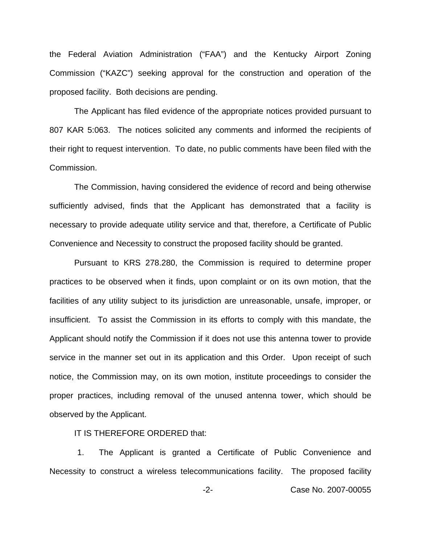the Federal Aviation Administration ("FAA") and the Kentucky Airport Zoning Commission ("KAZC") seeking approval for the construction and operation of the proposed facility. Both decisions are pending.

The Applicant has filed evidence of the appropriate notices provided pursuant to 807 KAR 5:063. The notices solicited any comments and informed the recipients of their right to request intervention. To date, no public comments have been filed with the Commission.

The Commission, having considered the evidence of record and being otherwise sufficiently advised, finds that the Applicant has demonstrated that a facility is necessary to provide adequate utility service and that, therefore, a Certificate of Public Convenience and Necessity to construct the proposed facility should be granted.

Pursuant to KRS 278.280, the Commission is required to determine proper practices to be observed when it finds, upon complaint or on its own motion, that the facilities of any utility subject to its jurisdiction are unreasonable, unsafe, improper, or insufficient. To assist the Commission in its efforts to comply with this mandate, the Applicant should notify the Commission if it does not use this antenna tower to provide service in the manner set out in its application and this Order. Upon receipt of such notice, the Commission may, on its own motion, institute proceedings to consider the proper practices, including removal of the unused antenna tower, which should be observed by the Applicant.

## IT IS THEREFORE ORDERED that:

1. The Applicant is granted a Certificate of Public Convenience and Necessity to construct a wireless telecommunications facility. The proposed facility

-2- Case No. 2007-00055